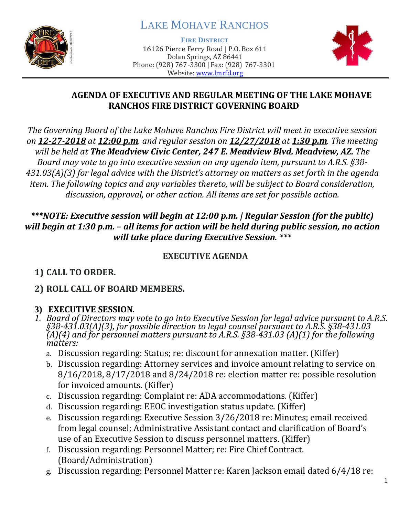

# LAKE MOHAVE RANCHOS

**FIRE DISTRICT**

16126 Pierce Ferry Road | P.O. Box 611 Dolan Springs, AZ 86441 Phone: (928) 767-3300 | Fax: (928) 767-3301 Website: [www.lmrfd.org](http://www.lmrfd.org/)



#### **AGENDA OF EXECUTIVE AND REGULAR MEETING OF THE LAKE MOHAVE RANCHOS FIRE DISTRICT GOVERNING BOARD**

*The Governing Board of the Lake Mohave Ranchos Fire District will meet in executive session on 12-27-2018 at 12:00 p.m. and regular session on 12/27/2018 at 1:30 p.m. The meeting will be held at The Meadview Civic Center, 247 E. Meadview Blvd. Meadview, AZ. The Board may vote to go into executive session on any agenda item, pursuant to A.R.S. §38- 431.03(A)(3) for legal advice with the District's attorney on matters as set forth in the agenda item. The following topics and any variables thereto, will be subject to Board consideration, discussion, approval, or other action. All items are set for possible action.*

### *\*\*\*NOTE: Executive session will begin at 12:00 p.m. | Regular Session (for the public) will begin at 1:30 p.m. – all items for action will be held during public session, no action will take place during Executive Session. \*\*\**

## **EXECUTIVE AGENDA**

## **1) CALL TO ORDER.**

## **2) ROLL CALL OF BOARD MEMBERS.**

## **3) EXECUTIVE SESSION***.*

- *1. Board of Directors may vote to go into Executive Session for legal advice pursuant to A.R.S. §38-431.03(A)(3), for possible direction to legal counsel pursuant to A.R.S. §38-431.03 (A)(4) and for personnel matters pursuant to A.R.S. §38-431.03 (A)(1) for the following matters:*
	- a. Discussion regarding: Status; re: discount for annexation matter. (Kiffer)
	- b. Discussion regarding: Attorney services and invoice amount relating to service on 8/16/2018, 8/17/2018 and 8/24/2018 re: election matter re: possible resolution for invoiced amounts. (Kiffer)
	- c. Discussion regarding: Complaint re: ADA accommodations. (Kiffer)
	- d. Discussion regarding: EEOC investigation status update. (Kiffer)
	- e. Discussion regarding: Executive Session 3/26/2018 re: Minutes; email received from legal counsel; Administrative Assistant contact and clarification of Board's use of an Executive Session to discuss personnel matters. (Kiffer)
	- f. Discussion regarding: Personnel Matter; re: Fire Chief Contract. (Board/Administration)
	- g. Discussion regarding: Personnel Matter re: Karen Jackson email dated 6/4/18 re: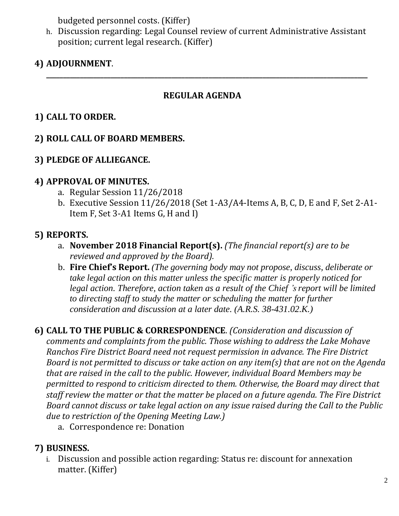budgeted personnel costs. (Kiffer)

h. Discussion regarding: Legal Counsel review of current Administrative Assistant position; current legal research. (Kiffer)

**\_\_\_\_\_\_\_\_\_\_\_\_\_\_\_\_\_\_\_\_\_\_\_\_\_\_\_\_\_\_\_\_\_\_\_\_\_\_\_\_\_\_\_\_\_\_\_\_\_\_\_\_\_\_\_\_\_\_\_\_\_\_\_\_\_\_\_\_\_\_\_\_\_\_\_\_\_\_\_\_\_\_\_\_\_\_\_\_\_\_\_\_\_\_\_**

## **4) ADJOURNMENT**.

### **REGULAR AGENDA**

### **1) CALL TO ORDER.**

#### **2) ROLL CALL OF BOARD MEMBERS.**

#### **3) PLEDGE OF ALLIEGANCE.**

#### **4) APPROVAL OF MINUTES.**

- a. Regular Session 11/26/2018
- b. Executive Session 11/26/2018 (Set 1-A3/A4-Items A, B, C, D, E and F, Set 2-A1- Item F, Set 3-A1 Items G, H and I)

#### **5) REPORTS.**

- a. **November 2018 Financial Report(s).** *(The financial report(s) are to be reviewed and approved by the Board).*
- b. **Fire Chief's Report.** *(The governing body may not propose, discuss, deliberate or take legal action on this matter unless the specific matter is properly noticed for legal action. Therefore, action taken as a result of the Chief 's report will be limited to directing staff to study the matter or scheduling the matter for further consideration and discussion at a later date. (A.R.S. 38-431.02.K.)*

**6) CALL TO THE PUBLIC & CORRESPONDENCE**. *(Consideration and discussion of comments and complaints from the public. Those wishing to address the Lake Mohave Ranchos Fire District Board need not request permission in advance. The Fire District Board is not permitted to discuss or take action on any item(s) that are not on the Agenda that are raised in the call to the public. However, individual Board Members may be permitted to respond to criticism directed to them. Otherwise, the Board may direct that staff review the matter or that the matter be placed on a future agenda. The Fire District Board cannot discuss or take legal action on any issue raised during the Call to the Public due to restriction of the Opening Meeting Law.)*

a. Correspondence re: Donation

#### **7) BUSINESS.**

i. Discussion and possible action regarding: Status re: discount for annexation matter. (Kiffer)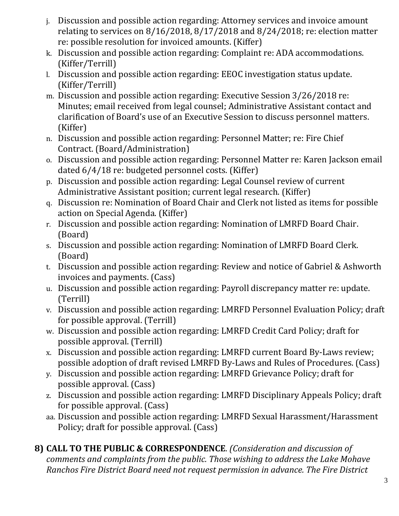- j. Discussion and possible action regarding: Attorney services and invoice amount relating to services on 8/16/2018, 8/17/2018 and 8/24/2018; re: election matter re: possible resolution for invoiced amounts. (Kiffer)
- k. Discussion and possible action regarding: Complaint re: ADA accommodations. (Kiffer/Terrill)
- l. Discussion and possible action regarding: EEOC investigation status update. (Kiffer/Terrill)
- m. Discussion and possible action regarding: Executive Session 3/26/2018 re: Minutes; email received from legal counsel; Administrative Assistant contact and clarification of Board's use of an Executive Session to discuss personnel matters. (Kiffer)
- n. Discussion and possible action regarding: Personnel Matter; re: Fire Chief Contract. (Board/Administration)
- o. Discussion and possible action regarding: Personnel Matter re: Karen Jackson email dated 6/4/18 re: budgeted personnel costs. (Kiffer)
- p. Discussion and possible action regarding: Legal Counsel review of current Administrative Assistant position; current legal research. (Kiffer)
- q. Discussion re: Nomination of Board Chair and Clerk not listed as items for possible action on Special Agenda. (Kiffer)
- r. Discussion and possible action regarding: Nomination of LMRFD Board Chair. (Board)
- s. Discussion and possible action regarding: Nomination of LMRFD Board Clerk. (Board)
- t. Discussion and possible action regarding: Review and notice of Gabriel & Ashworth invoices and payments. (Cass)
- u. Discussion and possible action regarding: Payroll discrepancy matter re: update. (Terrill)
- v. Discussion and possible action regarding: LMRFD Personnel Evaluation Policy; draft for possible approval. (Terrill)
- w. Discussion and possible action regarding: LMRFD Credit Card Policy; draft for possible approval. (Terrill)
- x. Discussion and possible action regarding: LMRFD current Board By-Laws review; possible adoption of draft revised LMRFD By-Laws and Rules of Procedures. (Cass)
- y. Discussion and possible action regarding: LMRFD Grievance Policy; draft for possible approval. (Cass)
- z. Discussion and possible action regarding: LMRFD Disciplinary Appeals Policy; draft for possible approval. (Cass)
- aa. Discussion and possible action regarding: LMRFD Sexual Harassment/Harassment Policy; draft for possible approval. (Cass)

**8) CALL TO THE PUBLIC & CORRESPONDENCE**. *(Consideration and discussion of comments and complaints from the public. Those wishing to address the Lake Mohave Ranchos Fire District Board need not request permission in advance. The Fire District*